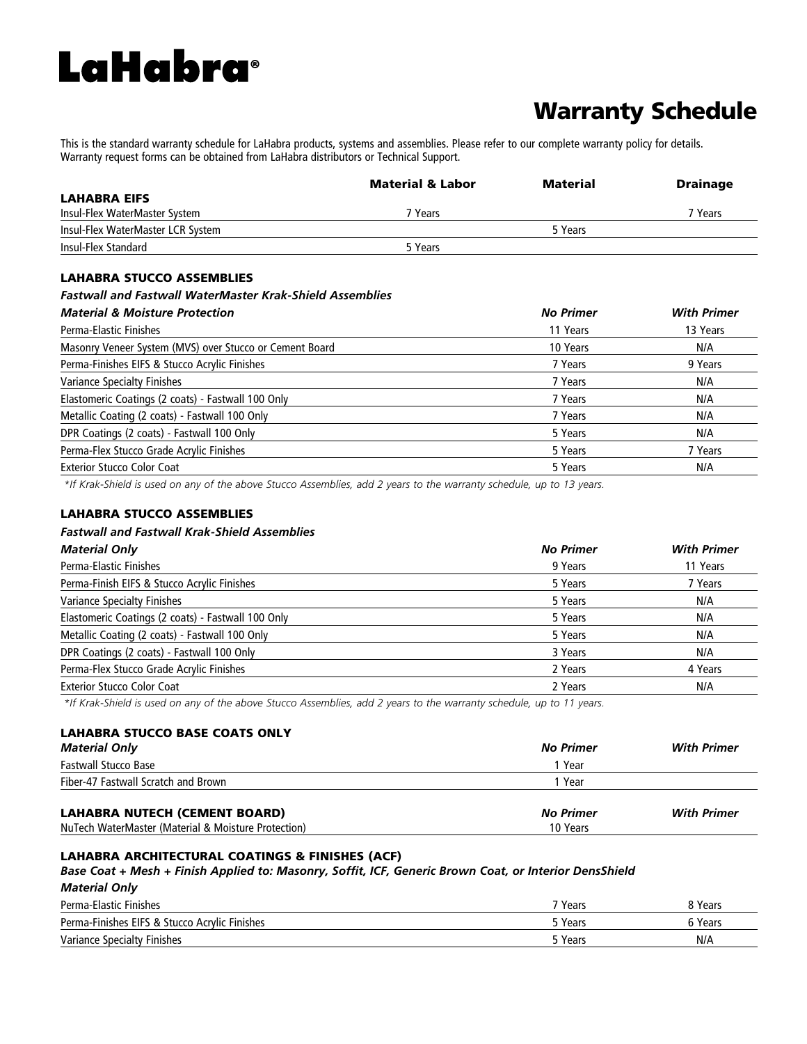# **LaHabra**®

# Warranty Schedule

This is the standard warranty schedule for LaHabra products, systems and assemblies. Please refer to our complete warranty policy for details. Warranty request forms can be obtained from LaHabra distributors or Technical Support.

|                                   | <b>Material &amp; Labor</b> | Material | <b>Drainage</b> |
|-----------------------------------|-----------------------------|----------|-----------------|
| <b>LAHABRA EIFS</b>               |                             |          |                 |
| Insul-Flex WaterMaster System     | <sup>7</sup> Years          |          | 7 Years         |
| Insul-Flex WaterMaster LCR System |                             | 5 Years  |                 |
| Insul-Flex Standard               | 5 Years                     |          |                 |
|                                   |                             |          |                 |

# LAHABRA STUCCO ASSEMBLIES

#### *Fastwall and Fastwall WaterMaster Krak-Shield Assemblies*

| <b>Material &amp; Moisture Protection</b>               | <b>No Primer</b> | <b>With Primer</b> |
|---------------------------------------------------------|------------------|--------------------|
| Perma-Elastic Finishes                                  | 11 Years         | 13 Years           |
| Masonry Veneer System (MVS) over Stucco or Cement Board | 10 Years         | N/A                |
| Perma-Finishes EIFS & Stucco Acrylic Finishes           | 7 Years          | 9 Years            |
| Variance Specialty Finishes                             | 7 Years          | N/A                |
| Elastomeric Coatings (2 coats) - Fastwall 100 Only      | 7 Years          | N/A                |
| Metallic Coating (2 coats) - Fastwall 100 Only          | 7 Years          | N/A                |
| DPR Coatings (2 coats) - Fastwall 100 Only              | 5 Years          | N/A                |
| Perma-Flex Stucco Grade Acrylic Finishes                | 5 Years          | 7 Years            |
| <b>Exterior Stucco Color Coat</b>                       | 5 Years          | N/A                |

 *\*If Krak-Shield is used on any of the above Stucco Assemblies, add 2 years to the warranty schedule, up to 13 years.* 

#### LAHABRA STUCCO ASSEMBLIES

### *Fastwall and Fastwall Krak-Shield Assemblies*

| <b>Material Only</b>                               | <b>No Primer</b> | <b>With Primer</b> |
|----------------------------------------------------|------------------|--------------------|
| Perma-Elastic Finishes                             | 9 Years          | 11 Years           |
| Perma-Finish EIFS & Stucco Acrylic Finishes        | 5 Years          | 7 Years            |
| <b>Variance Specialty Finishes</b>                 | 5 Years          | N/A                |
| Elastomeric Coatings (2 coats) - Fastwall 100 Only | 5 Years          | N/A                |
| Metallic Coating (2 coats) - Fastwall 100 Only     | 5 Years          | N/A                |
| DPR Coatings (2 coats) - Fastwall 100 Only         | 3 Years          | N/A                |
| Perma-Flex Stucco Grade Acrylic Finishes           | 2 Years          | 4 Years            |
| <b>Exterior Stucco Color Coat</b>                  | 2 Years          | N/A                |
|                                                    |                  |                    |

 *\*If Krak-Shield is used on any of the above Stucco Assemblies, add 2 years to the warranty schedule, up to 11 years.* 

# LAHABRA STUCCO BASE COATS ONLY

| <b>Material Only</b>                                | No Primer | <b>With Primer</b> |
|-----------------------------------------------------|-----------|--------------------|
| <b>Fastwall Stucco Base</b>                         | 1 Year    |                    |
| Fiber-47 Fastwall Scratch and Brown                 | 1 Year    |                    |
|                                                     |           |                    |
| <b>LAHABRA NUTECH (CEMENT BOARD)</b>                | No Primer | <b>With Primer</b> |
| NuTech WaterMaster (Material & Moisture Protection) | 10 Years  |                    |

#### LAHABRA ARCHITECTURAL COATINGS & FINISHES (ACF)

#### *Base Coat + Mesh + Finish Applied to: Masonry, Soffit, ICF, Generic Brown Coat, or Interior DensShield*

## *Material Only*

| Perma-Elastic Finishes                        | 7 Years | 8 Years |
|-----------------------------------------------|---------|---------|
| Perma-Finishes EIFS & Stucco Acrylic Finishes | 5 Years | 6 Years |
| Variance Specialty Finishes                   | 5 Years | N/A     |